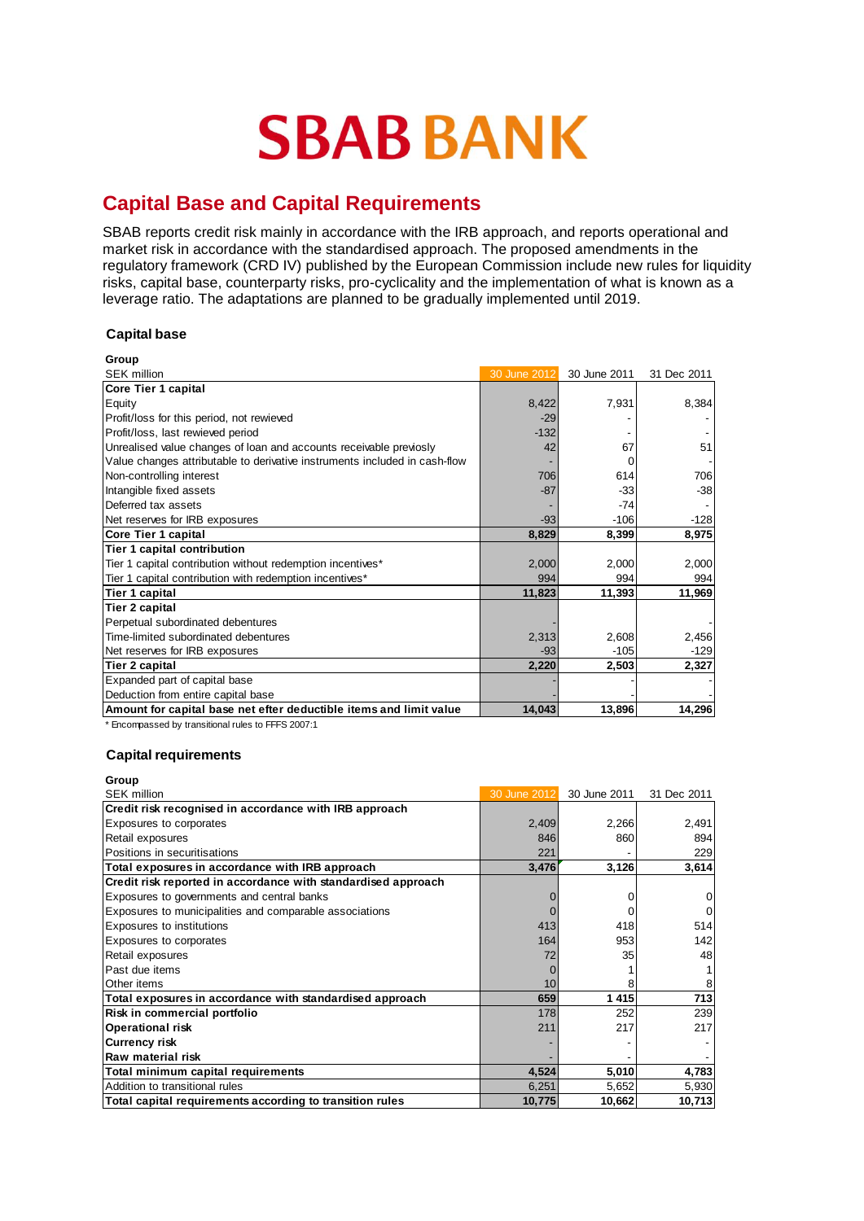# **SBAB BANK**

## **Capital Base and Capital Requirements**

SBAB reports credit risk mainly in accordance with the IRB approach, and reports operational and market risk in accordance with the standardised approach. The proposed amendments in the regulatory framework (CRD IV) published by the European Commission include new rules for liquidity risks, capital base, counterparty risks, pro-cyclicality and the implementation of what is known as a leverage ratio. The adaptations are planned to be gradually implemented until 2019.

## **Capital base**

| Group                                                                      |              |              |             |
|----------------------------------------------------------------------------|--------------|--------------|-------------|
| <b>SEK million</b>                                                         | 30 June 2012 | 30 June 2011 | 31 Dec 2011 |
| <b>Core Tier 1 capital</b>                                                 |              |              |             |
| Equity                                                                     | 8,422        | 7,931        | 8,384       |
| Profit/loss for this period, not rewieved                                  | $-29$        |              |             |
| Profit/loss, last rewieved period                                          | $-132$       |              |             |
| Unrealised value changes of loan and accounts receivable previosly         | 42           | 67           | 51          |
| Value changes attributable to derivative instruments included in cash-flow |              | $\Omega$     |             |
| Non-controlling interest                                                   | 706          | 614          | 706         |
| Intangible fixed assets                                                    | $-87$        | $-33$        | $-38$       |
| Deferred tax assets                                                        |              | $-74$        |             |
| Net reserves for IRB exposures                                             | $-93$        | $-106$       | $-128$      |
| Core Tier 1 capital                                                        | 8,829        | 8,399        | 8,975       |
| Tier 1 capital contribution                                                |              |              |             |
| Tier 1 capital contribution without redemption incentives*                 | 2,000        | 2,000        | 2,000       |
| Tier 1 capital contribution with redemption incentives*                    | 994          | 994          | 994         |
| Tier 1 capital                                                             | 11,823       | 11,393       | 11,969      |
| <b>Tier 2 capital</b>                                                      |              |              |             |
| Perpetual subordinated debentures                                          |              |              |             |
| Time-limited subordinated debentures                                       | 2,313        | 2,608        | 2,456       |
| Net reserves for IRB exposures                                             | $-93$        | $-105$       | $-129$      |
| Tier 2 capital                                                             | 2,220        | 2,503        | 2,327       |
| Expanded part of capital base                                              |              |              |             |
| Deduction from entire capital base                                         |              |              |             |
| Amount for capital base net efter deductible items and limit value         | 14,043       | 13,896       | 14,296      |

\* Encompassed by transitional rules to FFFS 2007:1

### **Capital requirements**

| Group                                                         |              |              |             |
|---------------------------------------------------------------|--------------|--------------|-------------|
| <b>SEK million</b>                                            | 30 June 2012 | 30 June 2011 | 31 Dec 2011 |
| Credit risk recognised in accordance with IRB approach        |              |              |             |
| Exposures to corporates                                       | 2,409        | 2,266        | 2,491       |
| Retail exposures                                              | 846          | 860          | 894         |
| Positions in securitisations                                  | 221          |              | 229         |
| Total exposures in accordance with IRB approach               | 3,476        | 3,126        | 3,614       |
| Credit risk reported in accordance with standardised approach |              |              |             |
| Exposures to governments and central banks                    |              |              |             |
| Exposures to municipalities and comparable associations       |              |              |             |
| <b>Exposures to institutions</b>                              | 413          | 418          | 514         |
| <b>Exposures to corporates</b>                                | 164          | 953          | 142         |
| Retail exposures                                              | 72           | 35           | 48          |
| Past due items                                                |              |              |             |
| <b>Other</b> items                                            | 10           | 8            |             |
| Total exposures in accordance with standardised approach      | 659          | 1 4 1 5      | 713         |
| Risk in commercial portfolio                                  | 178          | 252          | 239         |
| <b>Operational risk</b>                                       | 211          | 217          | 217         |
| <b>Currency risk</b>                                          |              |              |             |
| lRaw material risk                                            |              |              |             |
| Total minimum capital requirements                            | 4,524        | 5,010        | 4,783       |
| Addition to transitional rules                                | 6,251        | 5,652        | 5,930       |
| Total capital requirements according to transition rules      | 10,775       | 10,662       | 10,713      |